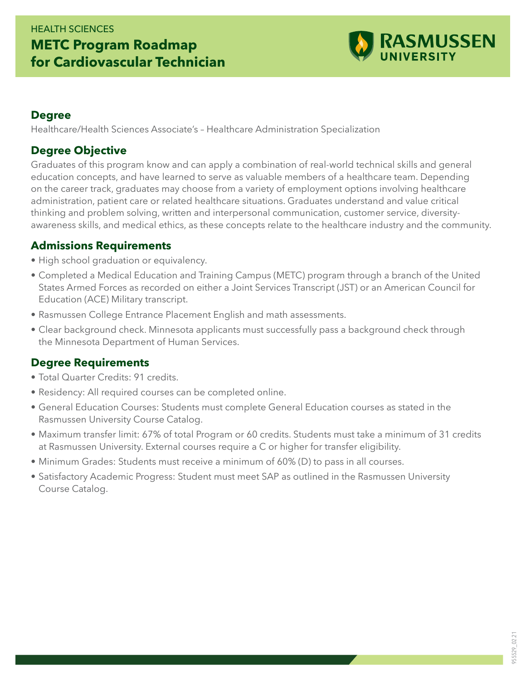# HEALTH SCIENCES **METC Program Roadmap for Cardiovascular Technician**



#### **Degree**

Healthcare/Health Sciences Associate's – Healthcare Administration Specialization

## **Degree Objective**

Graduates of this program know and can apply a combination of real-world technical skills and general education concepts, and have learned to serve as valuable members of a healthcare team. Depending on the career track, graduates may choose from a variety of employment options involving healthcare administration, patient care or related healthcare situations. Graduates understand and value critical thinking and problem solving, written and interpersonal communication, customer service, diversityawareness skills, and medical ethics, as these concepts relate to the healthcare industry and the community.

#### **Admissions Requirements**

- High school graduation or equivalency.
- Completed a Medical Education and Training Campus (METC) program through a branch of the United States Armed Forces as recorded on either a Joint Services Transcript (JST) or an American Council for Education (ACE) Military transcript.
- Rasmussen College Entrance Placement English and math assessments.
- Clear background check. Minnesota applicants must successfully pass a background check through the Minnesota Department of Human Services.

## **Degree Requirements**

- Total Quarter Credits: 91 credits.
- Residency: All required courses can be completed online.
- General Education Courses: Students must complete General Education courses as stated in the Rasmussen University Course Catalog.
- Maximum transfer limit: 67% of total Program or 60 credits. Students must take a minimum of 31 credits at Rasmussen University. External courses require a C or higher for transfer eligibility.
- Minimum Grades: Students must receive a minimum of 60% (D) to pass in all courses.
- Satisfactory Academic Progress: Student must meet SAP as outlined in the Rasmussen University Course Catalog.